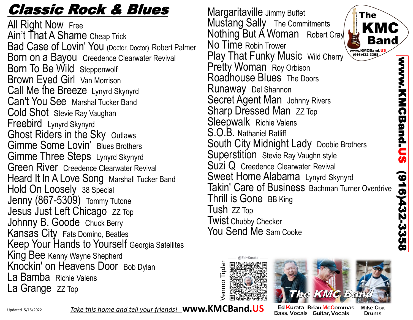## Classic Rock & Blues

All Right Now Free Ain't That A Shame Cheap Trick Bad Case of Lovin' You (Doctor, Doctor) Robert Palmer Born on a Bayou Creedence Clearwater Revival Born To Be Wild Steppenwolf Brown Eyed Girl Van Morrison Call Me the Breeze Lynyrd Skynyrd Can't You See Marshal Tucker Band Cold Shot Stevie Ray Vaughan Freebird Lynyrd Skynyrd Ghost Riders in the Sky Outlaws Gimme Some Lovin' Blues Brothers Gimme Three Steps Lynyrd Skynyrd Green River Creedence Clearwater Revival Heard It In A Love Song Marshall Tucker Band Hold On Loosely 38 Special Jenny (867-5309) Tommy Tutone Jesus Just Left Chicago ZZ Top Johnny B. Goode Chuck Berry Kansas City Fats Domino, Beatles Keep Your Hands to Yourself Georgia Satellites King Bee Kenny Wayne Shepherd Knockin' on Heavens Door Bob Dylan La Bamba Richie Valens La Grange ZZ Top

Margaritaville Jimmy Buffet **The** Mustang Sally The Commitments Nothing But A Woman Robert Cray No Time Robin Trower www.KMCBand.U Play That Funky Music Wild Cherry (916)432-3358 Pretty Woman Roy Orbison Roadhouse Blues The Doors Runaway Del Shannon Secret Agent Man Johnny Rivers Sharp Dressed Man ZZ Top Sleepwalk Richie Valens S.O.B. Nathaniel Ratliff South City Midnight Lady Doobie Brothers Superstition Stevie Ray Vaughn style Suzi Q Creedence Clearwater Revival Sweet Home Alabama Lynyrd Skynyrd Takin' Care of Business Bachman Turner Overdrive Thrill is Gone BB King Tush ZZ Top Twist Chubby Checker You Send Me Sam Cooke





Ed **K**urata Brian Mc**C**ommas **Bass, Vocals Guitar, Vocals** 

**Mike Cox** Drums

www.KMCBand.US

**CBand.US** 

**WWW.** 

(916)432

لى<br>3358

Updated 5/15/2022

*Take this home and tell your friends!* **www.KMCBand.US**